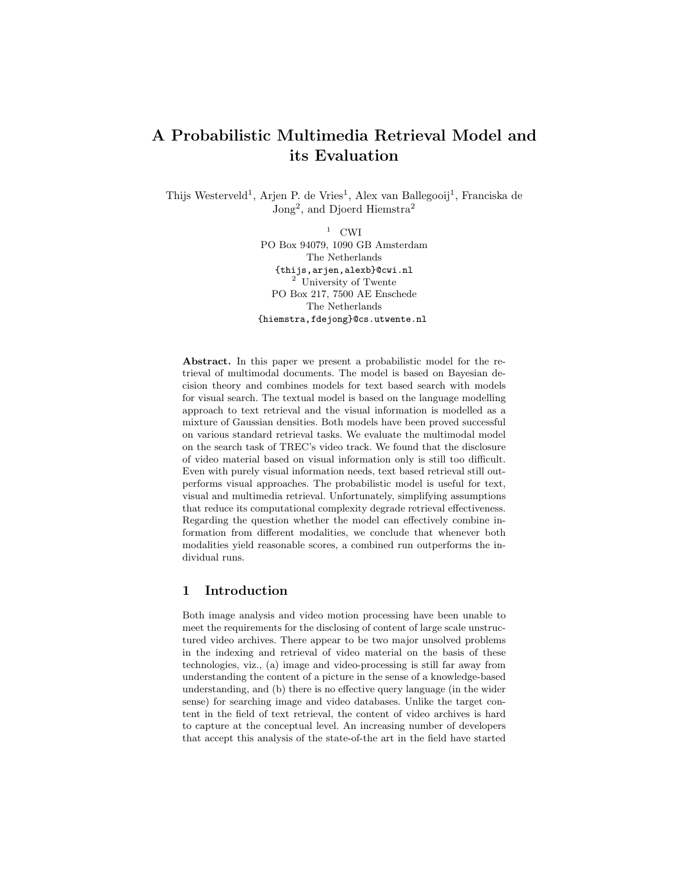# A Probabilistic Multimedia Retrieval Model and its Evaluation

Thijs Westerveld<sup>1</sup>, Arjen P. de Vries<sup>1</sup>, Alex van Ballegooij<sup>1</sup>, Franciska de Jong<sup>2</sup>, and Djoerd Hiemstra<sup>2</sup>

> $^{\rm 1}$   $\,$  CWI PO Box 94079, 1090 GB Amsterdam The Netherlands {thijs,arjen,alexb}@cwi.nl <sup>2</sup> University of Twente PO Box 217, 7500 AE Enschede The Netherlands {hiemstra,fdejong}@cs.utwente.nl

Abstract. In this paper we present a probabilistic model for the retrieval of multimodal documents. The model is based on Bayesian decision theory and combines models for text based search with models for visual search. The textual model is based on the language modelling approach to text retrieval and the visual information is modelled as a mixture of Gaussian densities. Both models have been proved successful on various standard retrieval tasks. We evaluate the multimodal model on the search task of TREC's video track. We found that the disclosure of video material based on visual information only is still too difficult. Even with purely visual information needs, text based retrieval still outperforms visual approaches. The probabilistic model is useful for text, visual and multimedia retrieval. Unfortunately, simplifying assumptions that reduce its computational complexity degrade retrieval effectiveness. Regarding the question whether the model can effectively combine information from different modalities, we conclude that whenever both modalities yield reasonable scores, a combined run outperforms the individual runs.

## 1 Introduction

Both image analysis and video motion processing have been unable to meet the requirements for the disclosing of content of large scale unstructured video archives. There appear to be two major unsolved problems in the indexing and retrieval of video material on the basis of these technologies, viz., (a) image and video-processing is still far away from understanding the content of a picture in the sense of a knowledge-based understanding, and (b) there is no effective query language (in the wider sense) for searching image and video databases. Unlike the target content in the field of text retrieval, the content of video archives is hard to capture at the conceptual level. An increasing number of developers that accept this analysis of the state-of-the art in the field have started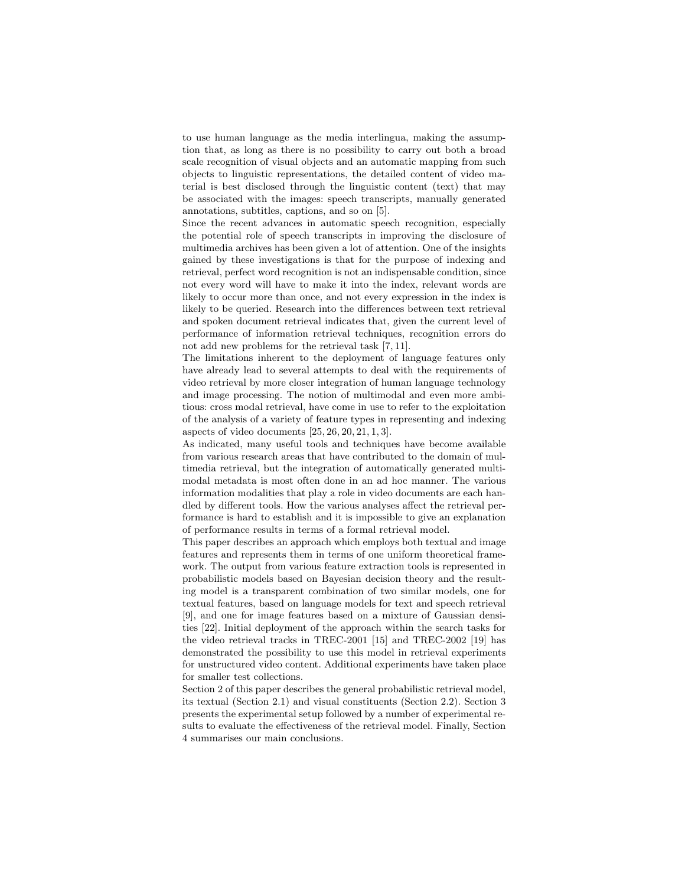to use human language as the media interlingua, making the assumption that, as long as there is no possibility to carry out both a broad scale recognition of visual objects and an automatic mapping from such objects to linguistic representations, the detailed content of video material is best disclosed through the linguistic content (text) that may be associated with the images: speech transcripts, manually generated annotations, subtitles, captions, and so on [5].

Since the recent advances in automatic speech recognition, especially the potential role of speech transcripts in improving the disclosure of multimedia archives has been given a lot of attention. One of the insights gained by these investigations is that for the purpose of indexing and retrieval, perfect word recognition is not an indispensable condition, since not every word will have to make it into the index, relevant words are likely to occur more than once, and not every expression in the index is likely to be queried. Research into the differences between text retrieval and spoken document retrieval indicates that, given the current level of performance of information retrieval techniques, recognition errors do not add new problems for the retrieval task [7, 11].

The limitations inherent to the deployment of language features only have already lead to several attempts to deal with the requirements of video retrieval by more closer integration of human language technology and image processing. The notion of multimodal and even more ambitious: cross modal retrieval, have come in use to refer to the exploitation of the analysis of a variety of feature types in representing and indexing aspects of video documents [25, 26, 20, 21, 1, 3].

As indicated, many useful tools and techniques have become available from various research areas that have contributed to the domain of multimedia retrieval, but the integration of automatically generated multimodal metadata is most often done in an ad hoc manner. The various information modalities that play a role in video documents are each handled by different tools. How the various analyses affect the retrieval performance is hard to establish and it is impossible to give an explanation of performance results in terms of a formal retrieval model.

This paper describes an approach which employs both textual and image features and represents them in terms of one uniform theoretical framework. The output from various feature extraction tools is represented in probabilistic models based on Bayesian decision theory and the resulting model is a transparent combination of two similar models, one for textual features, based on language models for text and speech retrieval [9], and one for image features based on a mixture of Gaussian densities [22]. Initial deployment of the approach within the search tasks for the video retrieval tracks in TREC-2001 [15] and TREC-2002 [19] has demonstrated the possibility to use this model in retrieval experiments for unstructured video content. Additional experiments have taken place for smaller test collections.

Section 2 of this paper describes the general probabilistic retrieval model, its textual (Section 2.1) and visual constituents (Section 2.2). Section 3 presents the experimental setup followed by a number of experimental results to evaluate the effectiveness of the retrieval model. Finally, Section 4 summarises our main conclusions.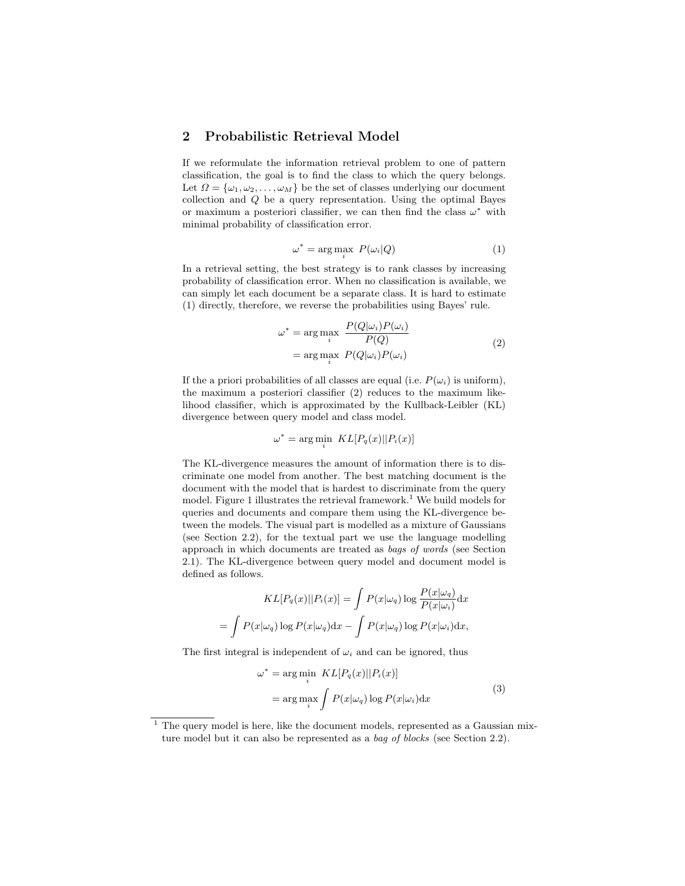# 2 Probabilistic Retrieval Model

If we reformulate the information retrieval problem to one of pattern classification, the goal is to find the class to which the query belongs. Let  $\Omega = {\omega_1, \omega_2, \ldots, \omega_M}$  be the set of classes underlying our document collection and Q be a query representation. Using the optimal Bayes or maximum a posteriori classifier, we can then find the class  $\omega^*$  with minimal probability of classification error.

$$
\omega^* = \arg\max_i P(\omega_i|Q) \tag{1}
$$

In a retrieval setting, the best strategy is to rank classes by increasing probability of classification error. When no classification is available, we can simply let each document be a separate class. It is hard to estimate (1) directly, therefore, we reverse the probabilities using Bayes' rule.

$$
\omega^* = \underset{i}{\arg\max} \frac{P(Q|\omega_i)P(\omega_i)}{P(Q)} \n= \underset{i}{\arg\max} P(Q|\omega_i)P(\omega_i)
$$
\n(2)

If the a priori probabilities of all classes are equal (i.e.  $P(\omega_i)$ ) is uniform), the maximum a posteriori classifier (2) reduces to the maximum likelihood classifier, which is approximated by the Kullback-Leibler (KL) divergence between query model and class model.

$$
\omega^* = \arg\min_i \ KL[P_q(x)||P_i(x)]
$$

The KL-divergence measures the amount of information there is to discriminate one model from another. The best matching document is the document with the model that is hardest to discriminate from the query model. Figure 1 illustrates the retrieval framework.<sup>1</sup> We build models for queries and documents and compare them using the KL-divergence between the models. The visual part is modelled as a mixture of Gaussians (see Section 2.2), for the textual part we use the language modelling approach in which documents are treated as bags of words (see Section 2.1). The KL-divergence between query model and document model is defined as follows.

$$
KL[P_q(x)||P_i(x)] = \int P(x|\omega_q) \log \frac{P(x|\omega_q)}{P(x|\omega_i)} dx
$$

$$
= \int P(x|\omega_q) \log P(x|\omega_q) dx - \int P(x|\omega_q) \log P(x|\omega_i) dx,
$$

The first integral is independent of  $\omega_i$  and can be ignored, thus

$$
\omega^* = \arg\min_i \ KL[P_q(x)||P_i(x)]
$$
  
= 
$$
\arg\max_i \int P(x|\omega_q) \log P(x|\omega_i) dx
$$
 (3)

 $^{\rm 1}$  The query model is here, like the document models, represented as a Gaussian mixture model but it can also be represented as a *bag of blocks* (see Section 2.2).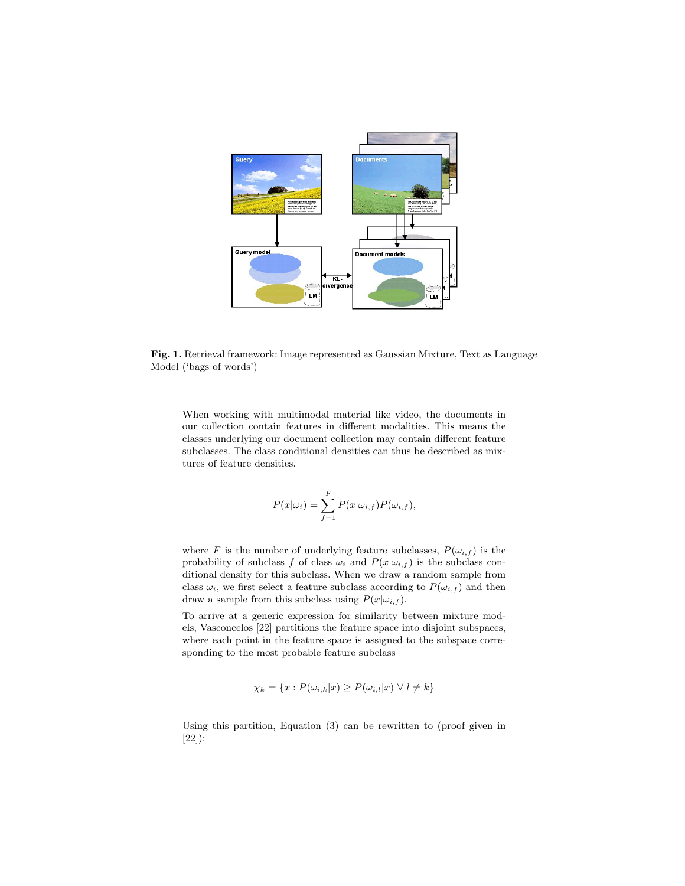

Fig. 1. Retrieval framework: Image represented as Gaussian Mixture, Text as Language Model ('bags of words')

When working with multimodal material like video, the documents in our collection contain features in different modalities. This means the classes underlying our document collection may contain different feature subclasses. The class conditional densities can thus be described as mixtures of feature densities.

$$
P(x|\omega_i) = \sum_{f=1}^{F} P(x|\omega_{i,f}) P(\omega_{i,f}),
$$

where F is the number of underlying feature subclasses,  $P(\omega_{i,f})$  is the probability of subclass f of class  $\omega_i$  and  $P(x|\omega_{i,f})$  is the subclass conditional density for this subclass. When we draw a random sample from class  $\omega_i$ , we first select a feature subclass according to  $P(\omega_{i,f})$  and then draw a sample from this subclass using  $P(x|\omega_{i,f})$ .

To arrive at a generic expression for similarity between mixture models, Vasconcelos [22] partitions the feature space into disjoint subspaces, where each point in the feature space is assigned to the subspace corresponding to the most probable feature subclass

$$
\chi_k = \{x : P(\omega_{i,k}|x) \ge P(\omega_{i,l}|x) \ \forall \ l \neq k\}
$$

Using this partition, Equation (3) can be rewritten to (proof given in [22]):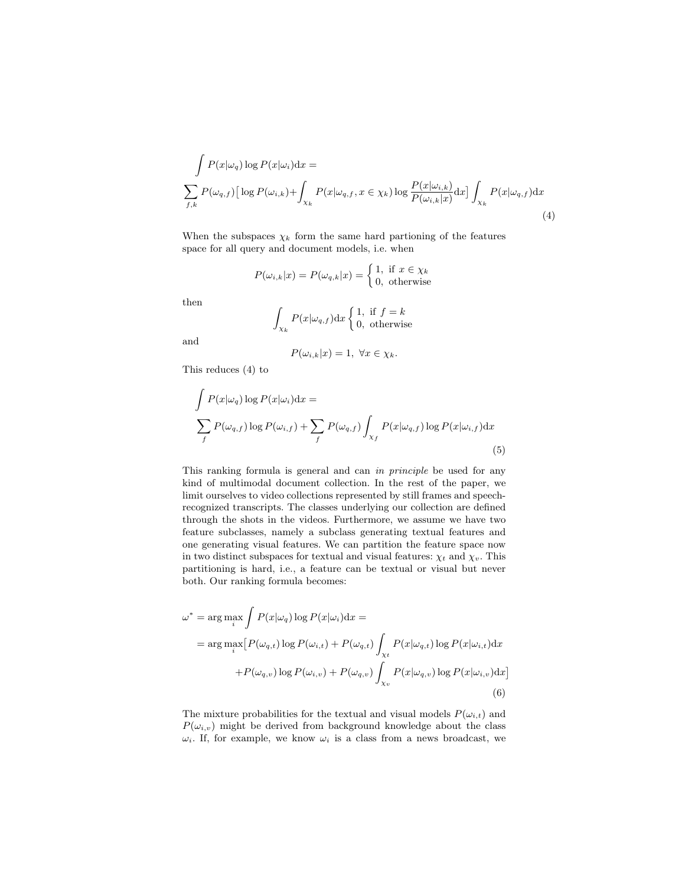$$
\int P(x|\omega_q) \log P(x|\omega_i) dx =
$$
\n
$$
\sum_{f,k} P(\omega_{q,f}) \left[ \log P(\omega_{i,k}) + \int_{\chi_k} P(x|\omega_{q,f}, x \in \chi_k) \log \frac{P(x|\omega_{i,k})}{P(\omega_{i,k}|x)} dx \right] \int_{\chi_k} P(x|\omega_{q,f}) dx
$$
\n(4)

When the subspaces  $\chi_k$  form the same hard partioning of the features space for all query and document models, i.e. when

$$
P(\omega_{i,k}|x) = P(\omega_{q,k}|x) = \begin{cases} 1, & \text{if } x \in \chi_k \\ 0, & \text{otherwise} \end{cases}
$$

then

$$
\int_{\chi_k} P(x|\omega_{q,f}) dx \begin{cases} 1, & \text{if } f = k \\ 0, & \text{otherwise} \end{cases}
$$

and

$$
P(\omega_{i,k}|x) = 1, \ \forall x \in \chi_k.
$$

This reduces (4) to

$$
\int P(x|\omega_q) \log P(x|\omega_i) dx =
$$
\n
$$
\sum_{f} P(\omega_{q,f}) \log P(\omega_{i,f}) + \sum_{f} P(\omega_{q,f}) \int_{\chi_f} P(x|\omega_{q,f}) \log P(x|\omega_{i,f}) dx
$$
\n(5)

This ranking formula is general and can in principle be used for any kind of multimodal document collection. In the rest of the paper, we limit ourselves to video collections represented by still frames and speechrecognized transcripts. The classes underlying our collection are defined through the shots in the videos. Furthermore, we assume we have two feature subclasses, namely a subclass generating textual features and one generating visual features. We can partition the feature space now in two distinct subspaces for textual and visual features:  $\chi_t$  and  $\chi_v$ . This partitioning is hard, i.e., a feature can be textual or visual but never both. Our ranking formula becomes:

$$
\omega^* = \arg \max_{i} \int P(x|\omega_q) \log P(x|\omega_i) dx =
$$
  
= 
$$
\arg \max_{i} [P(\omega_{q,t}) \log P(\omega_{i,t}) + P(\omega_{q,t}) \int_{\chi_t} P(x|\omega_{q,t}) \log P(x|\omega_{i,t}) dx
$$
  
+
$$
P(\omega_{q,v}) \log P(\omega_{i,v}) + P(\omega_{q,v}) \int_{\chi_v} P(x|\omega_{q,v}) \log P(x|\omega_{i,v}) dx]
$$
(6)

The mixture probabilities for the textual and visual models  $P(\omega_{i,t})$  and  $P(\omega_{i,v})$  might be derived from background knowledge about the class  $\omega_i$ . If, for example, we know  $\omega_i$  is a class from a news broadcast, we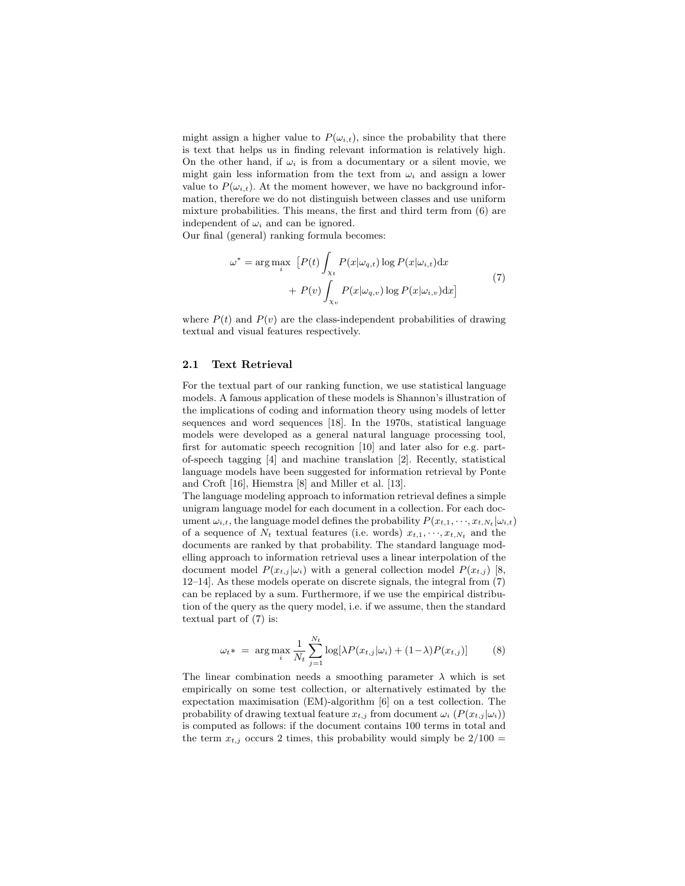might assign a higher value to  $P(\omega_{i,t})$ , since the probability that there is text that helps us in finding relevant information is relatively high. On the other hand, if  $\omega_i$  is from a documentary or a silent movie, we might gain less information from the text from  $\omega_i$  and assign a lower value to  $P(\omega_{i,t})$ . At the moment however, we have no background information, therefore we do not distinguish between classes and use uniform mixture probabilities. This means, the first and third term from (6) are independent of  $\omega_i$  and can be ignored.

Our final (general) ranking formula becomes:

$$
\omega^* = \arg \max_{i} \left[ P(t) \int_{\chi_t} P(x|\omega_{q,t}) \log P(x|\omega_{i,t}) dx + P(v) \int_{\chi_v} P(x|\omega_{q,v}) \log P(x|\omega_{i,v}) dx \right]
$$
(7)

where  $P(t)$  and  $P(v)$  are the class-independent probabilities of drawing textual and visual features respectively.

#### 2.1 Text Retrieval

For the textual part of our ranking function, we use statistical language models. A famous application of these models is Shannon's illustration of the implications of coding and information theory using models of letter sequences and word sequences [18]. In the 1970s, statistical language models were developed as a general natural language processing tool, first for automatic speech recognition [10] and later also for e.g. partof-speech tagging [4] and machine translation [2]. Recently, statistical language models have been suggested for information retrieval by Ponte and Croft [16], Hiemstra [8] and Miller et al. [13].

The language modeling approach to information retrieval defines a simple unigram language model for each document in a collection. For each document  $\omega_{i,t}$ , the language model defines the probability  $P(x_{t,1}, \dots, x_{t,N_t} | \omega_{i,t})$ of a sequence of  $N_t$  textual features (i.e. words)  $x_{t,1}, \dots, x_{t,N_t}$  and the documents are ranked by that probability. The standard language modelling approach to information retrieval uses a linear interpolation of the document model  $P(x_{t,j} | \omega_i)$  with a general collection model  $P(x_{t,j})$  [8, 12–14]. As these models operate on discrete signals, the integral from (7) can be replaced by a sum. Furthermore, if we use the empirical distribution of the query as the query model, i.e. if we assume, then the standard textual part of (7) is:

$$
\omega_t * = \arg \max_i \frac{1}{N_t} \sum_{j=1}^{N_t} \log[\lambda P(x_{t,j}|\omega_i) + (1-\lambda)P(x_{t,j})]
$$
(8)

The linear combination needs a smoothing parameter  $\lambda$  which is set empirically on some test collection, or alternatively estimated by the expectation maximisation (EM)-algorithm [6] on a test collection. The probability of drawing textual feature  $x_{t,j}$  from document  $\omega_i$   $(P(x_{t,j} | \omega_i))$ is computed as follows: if the document contains 100 terms in total and the term  $x_{t,j}$  occurs 2 times, this probability would simply be  $2/100 =$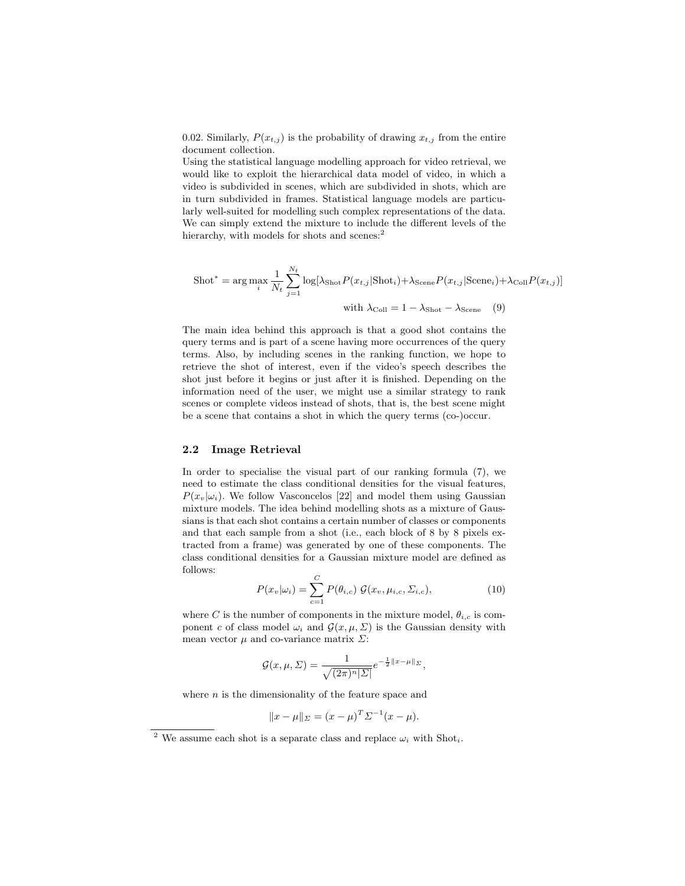0.02. Similarly,  $P(x_{t,j})$  is the probability of drawing  $x_{t,j}$  from the entire document collection.

Using the statistical language modelling approach for video retrieval, we would like to exploit the hierarchical data model of video, in which a video is subdivided in scenes, which are subdivided in shots, which are in turn subdivided in frames. Statistical language models are particularly well-suited for modelling such complex representations of the data. We can simply extend the mixture to include the different levels of the hierarchy, with models for shots and scenes:<sup>2</sup>

$$
\text{Short}^* = \arg \max_{i} \frac{1}{N_t} \sum_{j=1}^{N_t} \log[\lambda_{\text{shot}} P(x_{t,j} | \text{Short}_i) + \lambda_{\text{Scene}} P(x_{t,j} | \text{Scene}_i) + \lambda_{\text{Coll}} P(x_{t,j})]
$$
  
with  $\lambda_{\text{Coll}} = 1 - \lambda_{\text{Short}} - \lambda_{\text{Scene}}$  (9)

The main idea behind this approach is that a good shot contains the query terms and is part of a scene having more occurrences of the query terms. Also, by including scenes in the ranking function, we hope to retrieve the shot of interest, even if the video's speech describes the shot just before it begins or just after it is finished. Depending on the information need of the user, we might use a similar strategy to rank scenes or complete videos instead of shots, that is, the best scene might be a scene that contains a shot in which the query terms (co-)occur.

## 2.2 Image Retrieval

In order to specialise the visual part of our ranking formula (7), we need to estimate the class conditional densities for the visual features,  $P(x_v|\omega_i)$ . We follow Vasconcelos [22] and model them using Gaussian mixture models. The idea behind modelling shots as a mixture of Gaussians is that each shot contains a certain number of classes or components and that each sample from a shot (i.e., each block of 8 by 8 pixels extracted from a frame) was generated by one of these components. The class conditional densities for a Gaussian mixture model are defined as follows:

$$
P(x_v|\omega_i) = \sum_{c=1}^{C} P(\theta_{i,c}) \mathcal{G}(x_v, \mu_{i,c}, \Sigma_{i,c}),
$$
 (10)

where C is the number of components in the mixture model,  $\theta_{i,c}$  is component c of class model  $\omega_i$  and  $\mathcal{G}(x, \mu, \Sigma)$  is the Gaussian density with mean vector  $\mu$  and co-variance matrix  $\Sigma$ :

$$
\mathcal{G}(x,\mu,\Sigma) = \frac{1}{\sqrt{(2\pi)^n |\Sigma|}} e^{-\frac{1}{2}||x-\mu||_{\Sigma}},
$$

where  $n$  is the dimensionality of the feature space and

$$
||x - \mu||_{\Sigma} = (x - \mu)^{T} \Sigma^{-1} (x - \mu).
$$

<sup>&</sup>lt;sup>2</sup> We assume each shot is a separate class and replace  $\omega_i$  with Shot<sub>i</sub>.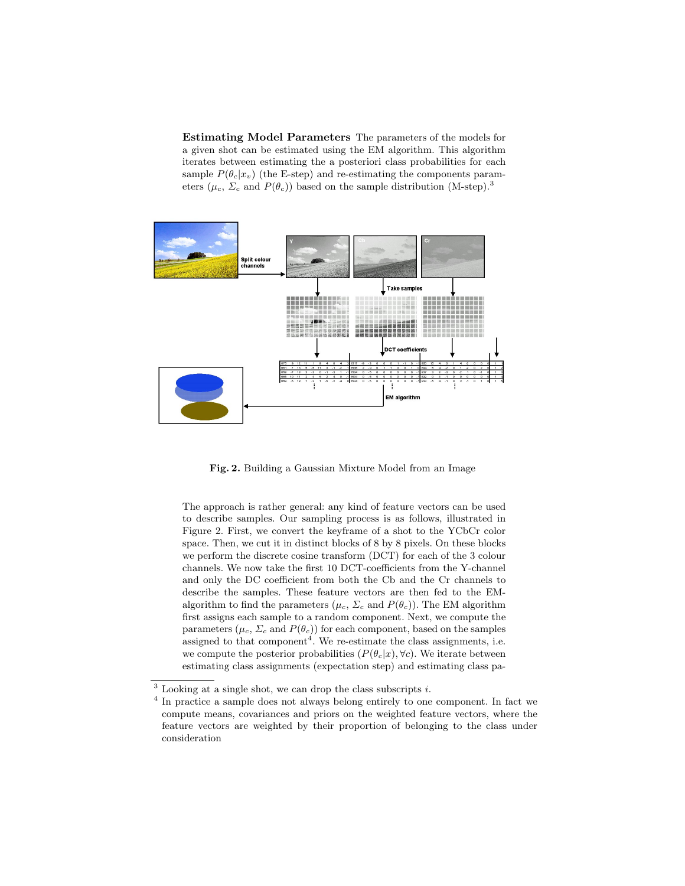Estimating Model Parameters The parameters of the models for a given shot can be estimated using the EM algorithm. This algorithm iterates between estimating the a posteriori class probabilities for each sample  $P(\theta_c|x_v)$  (the E-step) and re-estimating the components parameters ( $\mu_c$ ,  $\Sigma_c$  and  $P(\theta_c)$ ) based on the sample distribution (M-step).<sup>3</sup>



Fig. 2. Building a Gaussian Mixture Model from an Image

The approach is rather general: any kind of feature vectors can be used to describe samples. Our sampling process is as follows, illustrated in Figure 2. First, we convert the keyframe of a shot to the YCbCr color space. Then, we cut it in distinct blocks of 8 by 8 pixels. On these blocks we perform the discrete cosine transform (DCT) for each of the 3 colour channels. We now take the first 10 DCT-coefficients from the Y-channel and only the DC coefficient from both the Cb and the Cr channels to describe the samples. These feature vectors are then fed to the EMalgorithm to find the parameters ( $\mu_c$ ,  $\Sigma_c$  and  $P(\theta_c)$ ). The EM algorithm first assigns each sample to a random component. Next, we compute the parameters ( $\mu_c$ ,  $\Sigma_c$  and  $P(\theta_c)$ ) for each component, based on the samples assigned to that component<sup>4</sup>. We re-estimate the class assignments, i.e. we compute the posterior probabilities  $(P(\theta_c|x), \forall c)$ . We iterate between estimating class assignments (expectation step) and estimating class pa-

 $\overline{\text{3}$  Looking at a single shot, we can drop the class subscripts i.

<sup>&</sup>lt;sup>4</sup> In practice a sample does not always belong entirely to one component. In fact we compute means, covariances and priors on the weighted feature vectors, where the feature vectors are weighted by their proportion of belonging to the class under consideration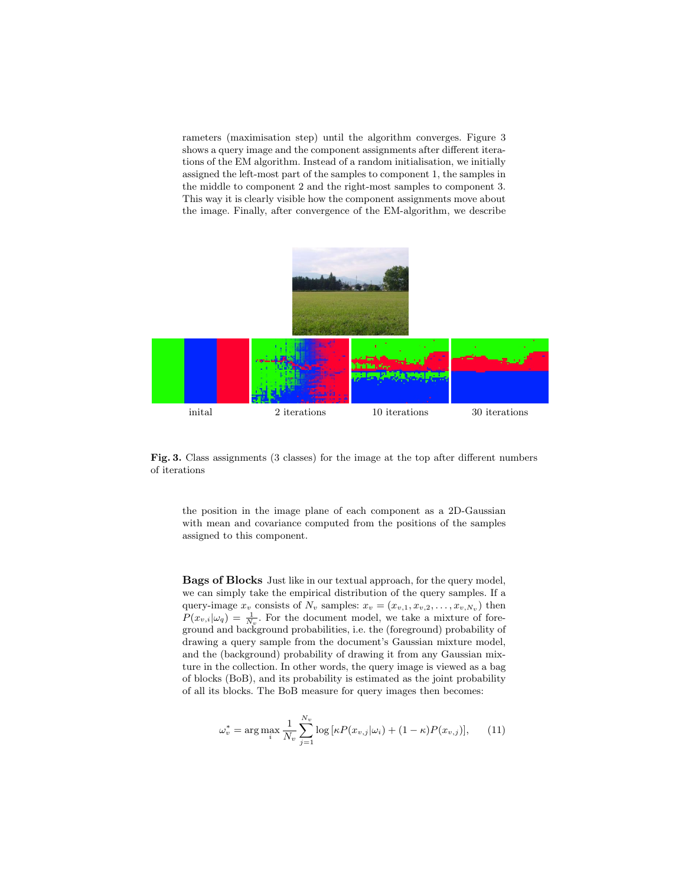rameters (maximisation step) until the algorithm converges. Figure 3 shows a query image and the component assignments after different iterations of the EM algorithm. Instead of a random initialisation, we initially assigned the left-most part of the samples to component 1, the samples in the middle to component 2 and the right-most samples to component 3. This way it is clearly visible how the component assignments move about the image. Finally, after convergence of the EM-algorithm, we describe



Fig. 3. Class assignments (3 classes) for the image at the top after different numbers of iterations

the position in the image plane of each component as a 2D-Gaussian with mean and covariance computed from the positions of the samples assigned to this component.

Bags of Blocks Just like in our textual approach, for the query model, we can simply take the empirical distribution of the query samples. If a query-image  $x_v$  consists of  $N_v$  samples:  $x_v = (x_{v,1}, x_{v,2}, \ldots, x_{v,N_v})$  then  $P(x_{v,i}|\omega_q) = \frac{1}{N_v}$ . For the document model, we take a mixture of foreground and background probabilities, i.e. the (foreground) probability of drawing a query sample from the document's Gaussian mixture model, and the (background) probability of drawing it from any Gaussian mixture in the collection. In other words, the query image is viewed as a bag of blocks (BoB), and its probability is estimated as the joint probability of all its blocks. The BoB measure for query images then becomes:

$$
\omega_v^* = \arg \max_i \frac{1}{N_v} \sum_{j=1}^{N_v} \log \left[ \kappa P(x_{v,j} | \omega_i) + (1 - \kappa) P(x_{v,j}) \right], \tag{11}
$$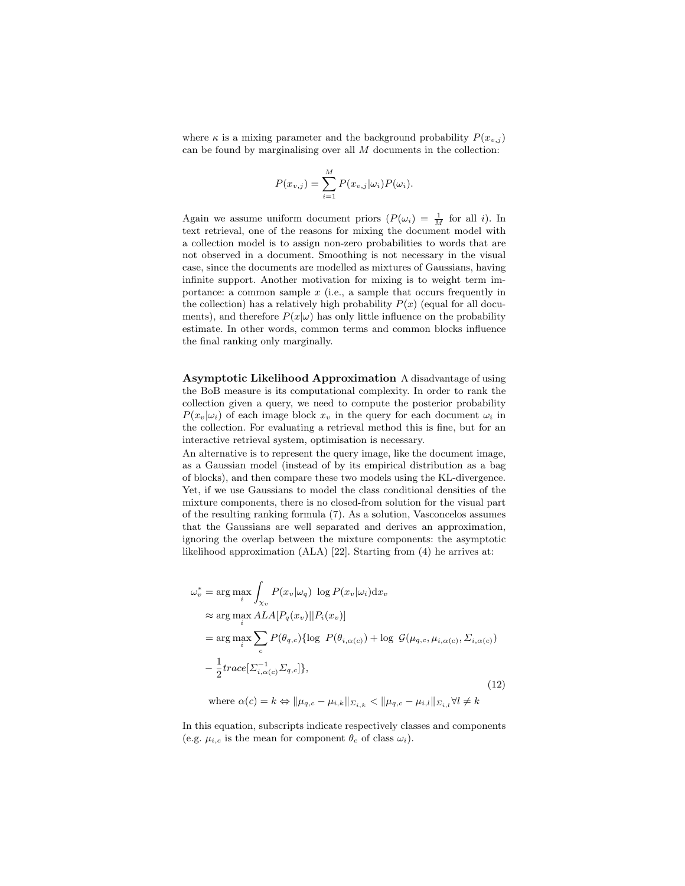where  $\kappa$  is a mixing parameter and the background probability  $P(x_{v,i})$ can be found by marginalising over all  $M$  documents in the collection:

$$
P(x_{v,j}) = \sum_{i=1}^{M} P(x_{v,j}|\omega_i) P(\omega_i).
$$

Again we assume uniform document priors  $(P(\omega_i) = \frac{1}{M}$  for all *i*). In text retrieval, one of the reasons for mixing the document model with a collection model is to assign non-zero probabilities to words that are not observed in a document. Smoothing is not necessary in the visual case, since the documents are modelled as mixtures of Gaussians, having infinite support. Another motivation for mixing is to weight term importance: a common sample  $x$  (i.e., a sample that occurs frequently in the collection) has a relatively high probability  $P(x)$  (equal for all documents), and therefore  $P(x|\omega)$  has only little influence on the probability estimate. In other words, common terms and common blocks influence the final ranking only marginally.

Asymptotic Likelihood Approximation A disadvantage of using the BoB measure is its computational complexity. In order to rank the collection given a query, we need to compute the posterior probability  $P(x_v|\omega_i)$  of each image block  $x_v$  in the query for each document  $\omega_i$  in the collection. For evaluating a retrieval method this is fine, but for an interactive retrieval system, optimisation is necessary.

An alternative is to represent the query image, like the document image, as a Gaussian model (instead of by its empirical distribution as a bag of blocks), and then compare these two models using the KL-divergence. Yet, if we use Gaussians to model the class conditional densities of the mixture components, there is no closed-from solution for the visual part of the resulting ranking formula (7). As a solution, Vasconcelos assumes that the Gaussians are well separated and derives an approximation, ignoring the overlap between the mixture components: the asymptotic likelihood approximation (ALA) [22]. Starting from (4) he arrives at:

$$
\omega_v^* = \arg \max_i \int_{\chi_v} P(x_v | \omega_q) \log P(x_v | \omega_i) dx_v
$$
  
\n
$$
\approx \arg \max_i ALA[P_q(x_v) || P_i(x_v)]
$$
  
\n
$$
= \arg \max_i \sum_c P(\theta_{q,c}) \{ \log P(\theta_{i,\alpha(c)}) + \log \mathcal{G}(\mu_{q,c}, \mu_{i,\alpha(c)}, \Sigma_{i,\alpha(c)})
$$
  
\n
$$
- \frac{1}{2} trace[\Sigma_{i,\alpha(c)}^{-1} \Sigma_{q,c}]\},
$$
  
\nwhere  $\alpha(c) = k \Leftrightarrow ||\mu_{q,c} - \mu_{i,k}||_{\Sigma_{i,k}} < ||\mu_{q,c} - \mu_{i,l}||_{\Sigma_{i,l}} \forall l \neq k$ \n
$$
(12)
$$

In this equation, subscripts indicate respectively classes and components (e.g.  $\mu_{i,c}$  is the mean for component  $\theta_c$  of class  $\omega_i$ ).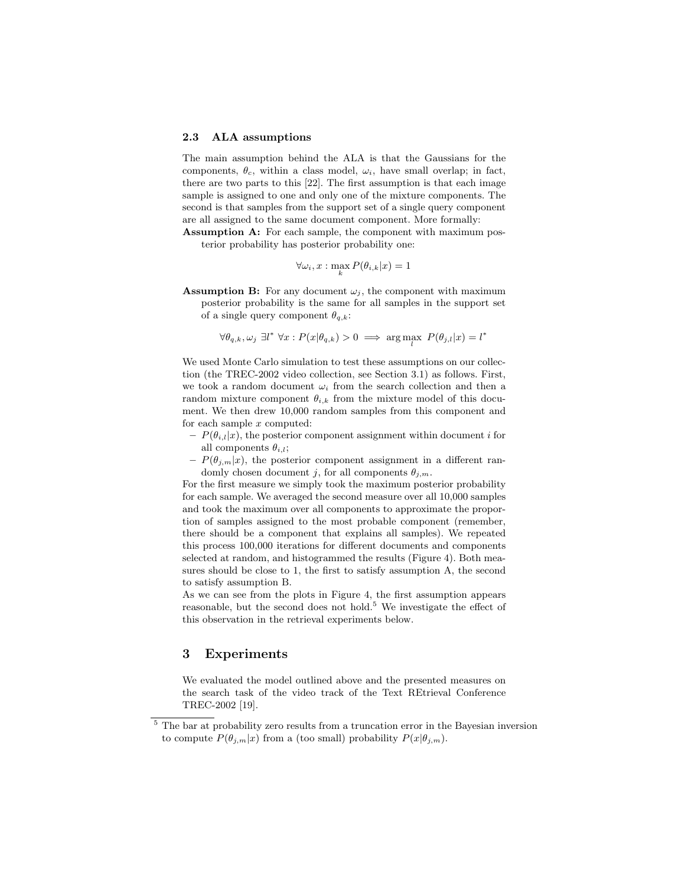### 2.3 ALA assumptions

The main assumption behind the ALA is that the Gaussians for the components,  $\theta_c$ , within a class model,  $\omega_i$ , have small overlap; in fact, there are two parts to this [22]. The first assumption is that each image sample is assigned to one and only one of the mixture components. The second is that samples from the support set of a single query component are all assigned to the same document component. More formally:

Assumption A: For each sample, the component with maximum posterior probability has posterior probability one:

$$
\forall \omega_i, x : \max_k P(\theta_{i,k}|x) = 1
$$

**Assumption B:** For any document  $\omega_j$ , the component with maximum posterior probability is the same for all samples in the support set of a single query component  $\theta_{a,k}$ :

$$
\forall \theta_{q,k}, \omega_j \ \exists l^* \ \forall x : P(x|\theta_{q,k}) > 0 \implies \arg\max_{l} P(\theta_{j,l}|x) = l^*
$$

We used Monte Carlo simulation to test these assumptions on our collection (the TREC-2002 video collection, see Section 3.1) as follows. First, we took a random document  $\omega_i$  from the search collection and then a random mixture component  $\theta_{i,k}$  from the mixture model of this document. We then drew 10,000 random samples from this component and for each sample  $x$  computed:

- $-P(\theta_{i,l}|x)$ , the posterior component assignment within document i for all components  $\theta_{i,l}$ ;
- $-P(\theta_{i,m}|x)$ , the posterior component assignment in a different randomly chosen document j, for all components  $\theta_{j,m}$ .

For the first measure we simply took the maximum posterior probability for each sample. We averaged the second measure over all 10,000 samples and took the maximum over all components to approximate the proportion of samples assigned to the most probable component (remember, there should be a component that explains all samples). We repeated this process 100,000 iterations for different documents and components selected at random, and histogrammed the results (Figure 4). Both measures should be close to 1, the first to satisfy assumption A, the second to satisfy assumption B.

As we can see from the plots in Figure 4, the first assumption appears reasonable, but the second does not hold.<sup>5</sup> We investigate the effect of this observation in the retrieval experiments below.

## 3 Experiments

We evaluated the model outlined above and the presented measures on the search task of the video track of the Text REtrieval Conference TREC-2002 [19].

 $^5$  The bar at probability zero results from a truncation error in the Bayesian inversion to compute  $P(\theta_{j,m}|x)$  from a (too small) probability  $P(x|\theta_{j,m})$ .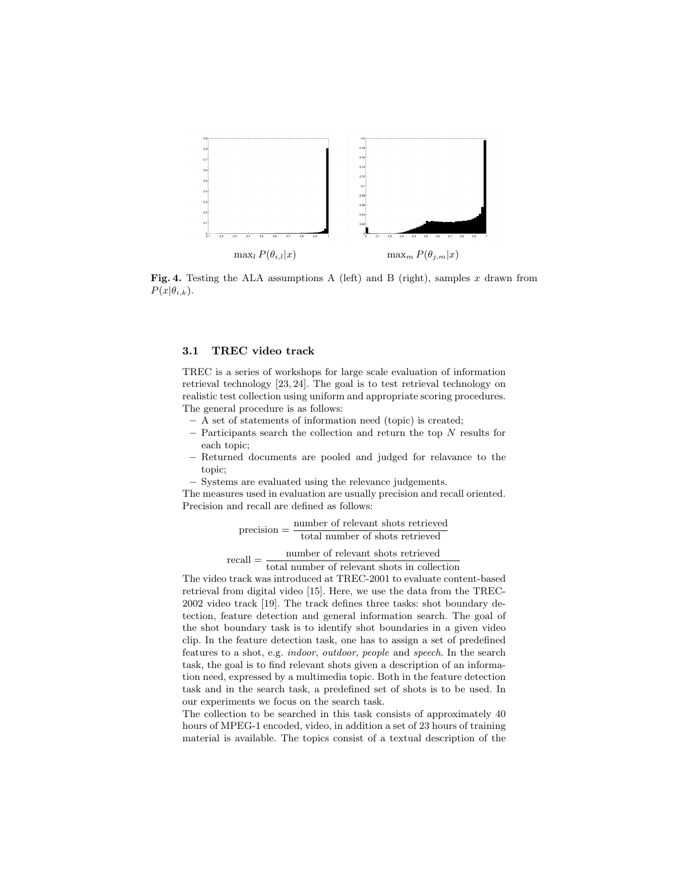

Fig. 4. Testing the ALA assumptions A (left) and B (right), samples  $x$  drawn from  $P(x|\theta_{i,k}).$ 

## 3.1 TREC video track

TREC is a series of workshops for large scale evaluation of information retrieval technology [23, 24]. The goal is to test retrieval technology on realistic test collection using uniform and appropriate scoring procedures. The general procedure is as follows:

- A set of statements of information need (topic) is created;
- $-$  Participants search the collection and return the top  $N$  results for each topic;
- Returned documents are pooled and judged for relavance to the topic;
- Systems are evaluated using the relevance judgements.

The measures used in evaluation are usually precision and recall oriented. Precision and recall are defined as follows:

 $precision =$  number of relevant shots retrieved<br>total number of shots retrieved

 $recall = \frac{number\ of\ relevant\ shots\ retrieved}{total\ number\ of\ relevant\ shots\ in\ collection}$ 

The video track was introduced at TREC-2001 to evaluate content-based retrieval from digital video [15]. Here, we use the data from the TREC-2002 video track [19]. The track defines three tasks: shot boundary detection, feature detection and general information search. The goal of the shot boundary task is to identify shot boundaries in a given video clip. In the feature detection task, one has to assign a set of predefined features to a shot, e.g. indoor, outdoor, people and speech. In the search task, the goal is to find relevant shots given a description of an information need, expressed by a multimedia topic. Both in the feature detection task and in the search task, a predefined set of shots is to be used. In our experiments we focus on the search task.

The collection to be searched in this task consists of approximately 40 hours of MPEG-1 encoded, video, in addition a set of 23 hours of training material is available. The topics consist of a textual description of the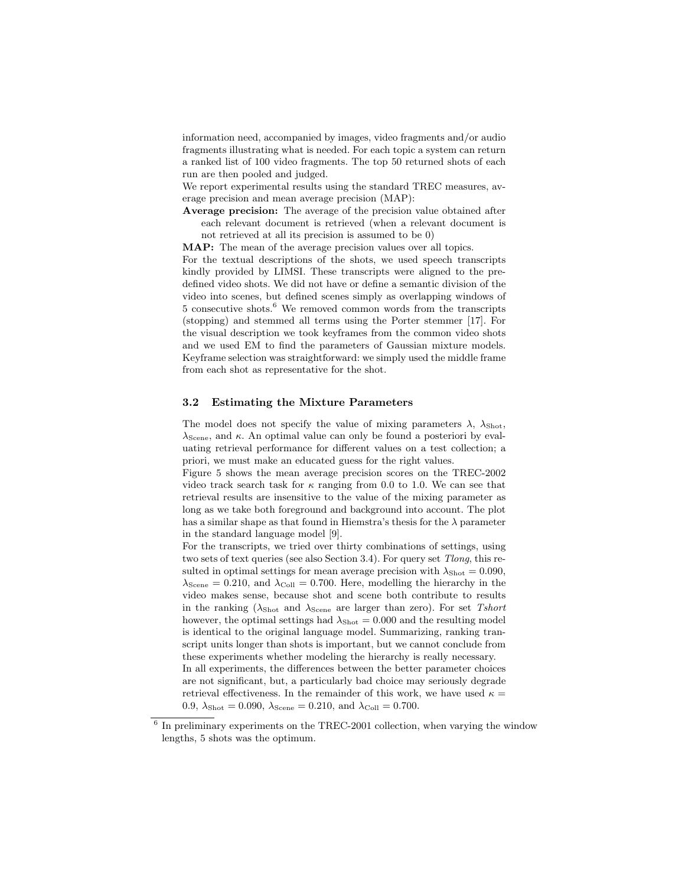information need, accompanied by images, video fragments and/or audio fragments illustrating what is needed. For each topic a system can return a ranked list of 100 video fragments. The top 50 returned shots of each run are then pooled and judged.

We report experimental results using the standard TREC measures, average precision and mean average precision (MAP):

Average precision: The average of the precision value obtained after each relevant document is retrieved (when a relevant document is not retrieved at all its precision is assumed to be 0)

MAP: The mean of the average precision values over all topics.

For the textual descriptions of the shots, we used speech transcripts kindly provided by LIMSI. These transcripts were aligned to the predefined video shots. We did not have or define a semantic division of the video into scenes, but defined scenes simply as overlapping windows of  $5$  consecutive shots. $6$  We removed common words from the transcripts (stopping) and stemmed all terms using the Porter stemmer [17]. For the visual description we took keyframes from the common video shots and we used EM to find the parameters of Gaussian mixture models. Keyframe selection was straightforward: we simply used the middle frame from each shot as representative for the shot.

## 3.2 Estimating the Mixture Parameters

The model does not specify the value of mixing parameters  $\lambda$ ,  $\lambda_{\text{shot}}$ ,  $\lambda_{\text{Scene}}$ , and  $\kappa$ . An optimal value can only be found a posteriori by evaluating retrieval performance for different values on a test collection; a priori, we must make an educated guess for the right values.

Figure 5 shows the mean average precision scores on the TREC-2002 video track search task for  $\kappa$  ranging from 0.0 to 1.0. We can see that retrieval results are insensitive to the value of the mixing parameter as long as we take both foreground and background into account. The plot has a similar shape as that found in Hiemstra's thesis for the  $\lambda$  parameter in the standard language model [9].

For the transcripts, we tried over thirty combinations of settings, using two sets of text queries (see also Section 3.4). For query set Tlong, this resulted in optimal settings for mean average precision with  $\lambda_{\text{shot}} = 0.090$ ,  $\lambda_{\text{Scene}} = 0.210$ , and  $\lambda_{\text{Coll}} = 0.700$ . Here, modelling the hierarchy in the video makes sense, because shot and scene both contribute to results in the ranking ( $\lambda_{\text{Short}}$  and  $\lambda_{\text{Score}}$  are larger than zero). For set Tshort however, the optimal settings had  $\lambda_{\text{shot}} = 0.000$  and the resulting model is identical to the original language model. Summarizing, ranking transcript units longer than shots is important, but we cannot conclude from these experiments whether modeling the hierarchy is really necessary. In all experiments, the differences between the better parameter choices are not significant, but, a particularly bad choice may seriously degrade retrieval effectiveness. In the remainder of this work, we have used  $\kappa =$ 

0.9,  $\lambda_{\text{shot}} = 0.090, \lambda_{\text{Scene}} = 0.210, \text{ and } \lambda_{\text{Coll}} = 0.700.$ 

<sup>&</sup>lt;sup>6</sup> In preliminary experiments on the TREC-2001 collection, when varying the window lengths, 5 shots was the optimum.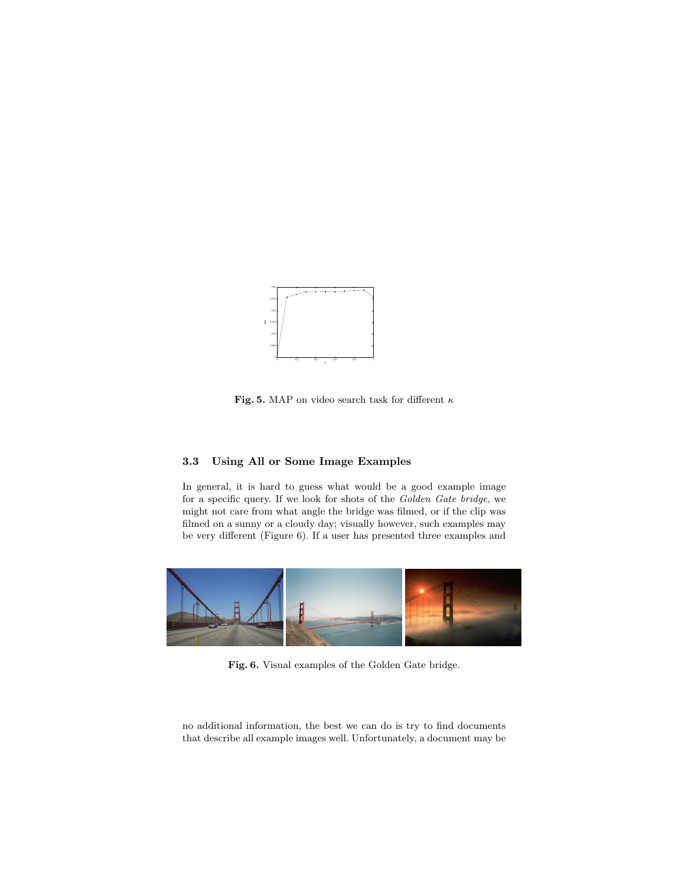

Fig. 5. MAP on video search task for different  $\kappa$ 

# 3.3 Using All or Some Image Examples

In general, it is hard to guess what would be a good example image for a specific query. If we look for shots of the Golden Gate bridge, we might not care from what angle the bridge was filmed, or if the clip was filmed on a sunny or a cloudy day; visually however, such examples may be very different (Figure 6). If a user has presented three examples and



Fig. 6. Visual examples of the Golden Gate bridge.

no additional information, the best we can do is try to find documents that describe all example images well. Unfortunately, a document may be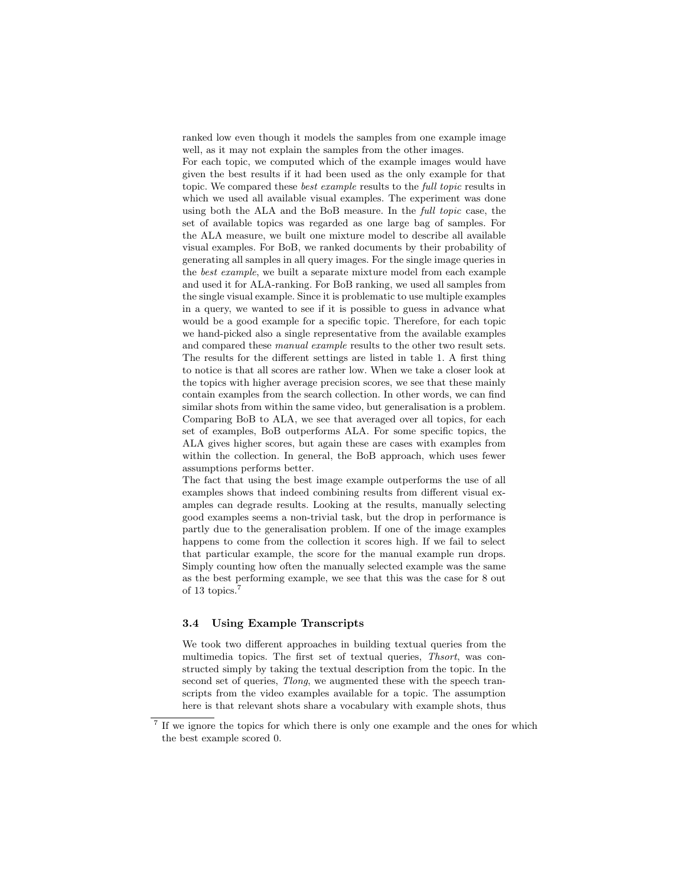ranked low even though it models the samples from one example image well, as it may not explain the samples from the other images.

For each topic, we computed which of the example images would have given the best results if it had been used as the only example for that topic. We compared these best example results to the full topic results in which we used all available visual examples. The experiment was done using both the ALA and the BoB measure. In the full topic case, the set of available topics was regarded as one large bag of samples. For the ALA measure, we built one mixture model to describe all available visual examples. For BoB, we ranked documents by their probability of generating all samples in all query images. For the single image queries in the best example, we built a separate mixture model from each example and used it for ALA-ranking. For BoB ranking, we used all samples from the single visual example. Since it is problematic to use multiple examples in a query, we wanted to see if it is possible to guess in advance what would be a good example for a specific topic. Therefore, for each topic we hand-picked also a single representative from the available examples and compared these manual example results to the other two result sets. The results for the different settings are listed in table 1. A first thing to notice is that all scores are rather low. When we take a closer look at the topics with higher average precision scores, we see that these mainly contain examples from the search collection. In other words, we can find similar shots from within the same video, but generalisation is a problem. Comparing BoB to ALA, we see that averaged over all topics, for each set of examples, BoB outperforms ALA. For some specific topics, the ALA gives higher scores, but again these are cases with examples from within the collection. In general, the BoB approach, which uses fewer assumptions performs better.

The fact that using the best image example outperforms the use of all examples shows that indeed combining results from different visual examples can degrade results. Looking at the results, manually selecting good examples seems a non-trivial task, but the drop in performance is partly due to the generalisation problem. If one of the image examples happens to come from the collection it scores high. If we fail to select that particular example, the score for the manual example run drops. Simply counting how often the manually selected example was the same as the best performing example, we see that this was the case for 8 out of 13 topics.<sup>7</sup>

### 3.4 Using Example Transcripts

We took two different approaches in building textual queries from the multimedia topics. The first set of textual queries, Thsort, was constructed simply by taking the textual description from the topic. In the second set of queries, *Tlong*, we augmented these with the speech transcripts from the video examples available for a topic. The assumption here is that relevant shots share a vocabulary with example shots, thus

<sup>&</sup>lt;sup>7</sup> If we ignore the topics for which there is only one example and the ones for which the best example scored 0.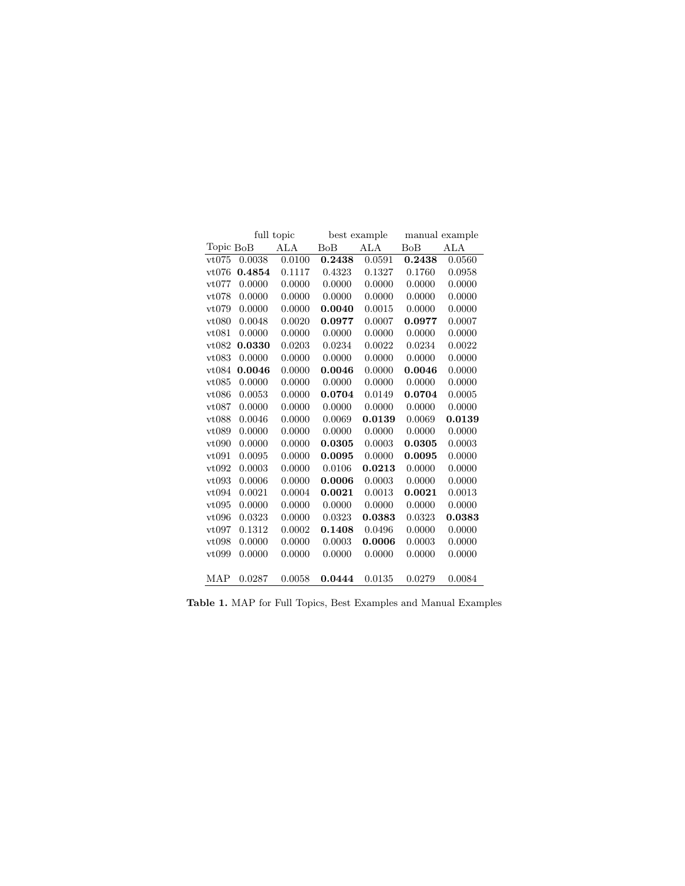|                 | full topic |            | best example |            | manual example |  |  |
|-----------------|------------|------------|--------------|------------|----------------|--|--|
| Topic BoB       | <b>ALA</b> | <b>BoB</b> | <b>ALA</b>   | <b>BoB</b> | ALA            |  |  |
| 0.0038<br>vt075 | 0.0100     | 0.2438     | 0.0591       | 0.2438     | 0.0560         |  |  |
| 0.4854<br>vt076 | 0.1117     | 0.4323     | 0.1327       | 0.1760     | 0.0958         |  |  |
| vt077<br>0.0000 | 0.0000     | 0.0000     | 0.0000       | 0.0000     | 0.0000         |  |  |
| 0.0000<br>vt078 | 0.0000     | 0.0000     | 0.0000       | 0.0000     | 0.0000         |  |  |
| 0.0000<br>vt079 | 0.0000     | 0.0040     | 0.0015       | 0.0000     | 0.0000         |  |  |
| 0.0048<br>vt080 | 0.0020     | 0.0977     | 0.0007       | 0.0977     | 0.0007         |  |  |
| 0.0000<br>vt081 | 0.0000     | 0.0000     | 0.0000       | 0.0000     | 0.0000         |  |  |
| 0.0330<br>vt082 | 0.0203     | 0.0234     | 0.0022       | 0.0234     | 0.0022         |  |  |
| 0.0000<br>vt083 | 0.0000     | 0.0000     | 0.0000       | 0.0000     | 0.0000         |  |  |
| vt084<br>0.0046 | 0.0000     | 0.0046     | 0.0000       | 0.0046     | 0.0000         |  |  |
| 0.0000<br>vt085 | 0.0000     | 0.0000     | 0.0000       | 0.0000     | 0.0000         |  |  |
| vt086<br>0.0053 | 0.0000     | 0.0704     | 0.0149       | 0.0704     | 0.0005         |  |  |
| vt087<br>0.0000 | 0.0000     | 0.0000     | 0.0000       | 0.0000     | 0.0000         |  |  |
| vt088<br>0.0046 | 0.0000     | 0.0069     | 0.0139       | 0.0069     | 0.0139         |  |  |
| vt089<br>0.0000 | 0.0000     | 0.0000     | 0.0000       | 0.0000     | 0.0000         |  |  |
| vt090<br>0.0000 | 0.0000     | 0.0305     | 0.0003       | 0.0305     | 0.0003         |  |  |
| vt091<br>0.0095 | 0.0000     | 0.0095     | 0.0000       | 0.0095     | 0.0000         |  |  |
| 0.0003<br>vt092 | 0.0000     | 0.0106     | 0.0213       | 0.0000     | 0.0000         |  |  |
| vt093<br>0.0006 | 0.0000     | 0.0006     | 0.0003       | 0.0000     | 0.0000         |  |  |
| vt094<br>0.0021 | 0.0004     | 0.0021     | 0.0013       | 0.0021     | 0.0013         |  |  |
| vt095<br>0.0000 | 0.0000     | 0.0000     | 0.0000       | 0.0000     | 0.0000         |  |  |
| vt096<br>0.0323 | 0.0000     | 0.0323     | 0.0383       | 0.0323     | 0.0383         |  |  |
| 0.1312<br>vt097 | 0.0002     | 0.1408     | 0.0496       | 0.0000     | 0.0000         |  |  |
| vt098<br>0.0000 | 0.0000     | 0.0003     | 0.0006       | 0.0003     | 0.0000         |  |  |
| vt099<br>0.0000 | 0.0000     | 0.0000     | 0.0000       | 0.0000     | 0.0000         |  |  |
|                 |            |            |              |            |                |  |  |
| MAP<br>0.0287   | 0.0058     | 0.0444     | 0.0135       | 0.0279     | 0.0084         |  |  |

Table 1. MAP for Full Topics, Best Examples and Manual Examples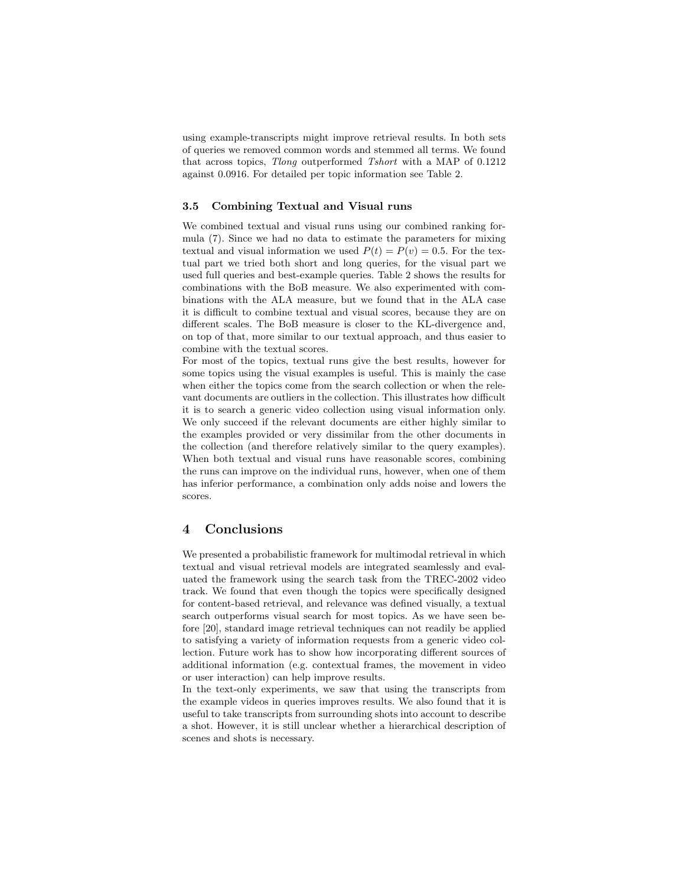using example-transcripts might improve retrieval results. In both sets of queries we removed common words and stemmed all terms. We found that across topics, Tlong outperformed Tshort with a MAP of 0.1212 against 0.0916. For detailed per topic information see Table 2.

#### 3.5 Combining Textual and Visual runs

We combined textual and visual runs using our combined ranking formula (7). Since we had no data to estimate the parameters for mixing textual and visual information we used  $P(t) = P(v) = 0.5$ . For the textual part we tried both short and long queries, for the visual part we used full queries and best-example queries. Table 2 shows the results for combinations with the BoB measure. We also experimented with combinations with the ALA measure, but we found that in the ALA case it is difficult to combine textual and visual scores, because they are on different scales. The BoB measure is closer to the KL-divergence and, on top of that, more similar to our textual approach, and thus easier to combine with the textual scores.

For most of the topics, textual runs give the best results, however for some topics using the visual examples is useful. This is mainly the case when either the topics come from the search collection or when the relevant documents are outliers in the collection. This illustrates how difficult it is to search a generic video collection using visual information only. We only succeed if the relevant documents are either highly similar to the examples provided or very dissimilar from the other documents in the collection (and therefore relatively similar to the query examples). When both textual and visual runs have reasonable scores, combining the runs can improve on the individual runs, however, when one of them has inferior performance, a combination only adds noise and lowers the scores.

# 4 Conclusions

We presented a probabilistic framework for multimodal retrieval in which textual and visual retrieval models are integrated seamlessly and evaluated the framework using the search task from the TREC-2002 video track. We found that even though the topics were specifically designed for content-based retrieval, and relevance was defined visually, a textual search outperforms visual search for most topics. As we have seen before [20], standard image retrieval techniques can not readily be applied to satisfying a variety of information requests from a generic video collection. Future work has to show how incorporating different sources of additional information (e.g. contextual frames, the movement in video or user interaction) can help improve results.

In the text-only experiments, we saw that using the transcripts from the example videos in queries improves results. We also found that it is useful to take transcripts from surrounding shots into account to describe a shot. However, it is still unclear whether a hierarchical description of scenes and shots is necessary.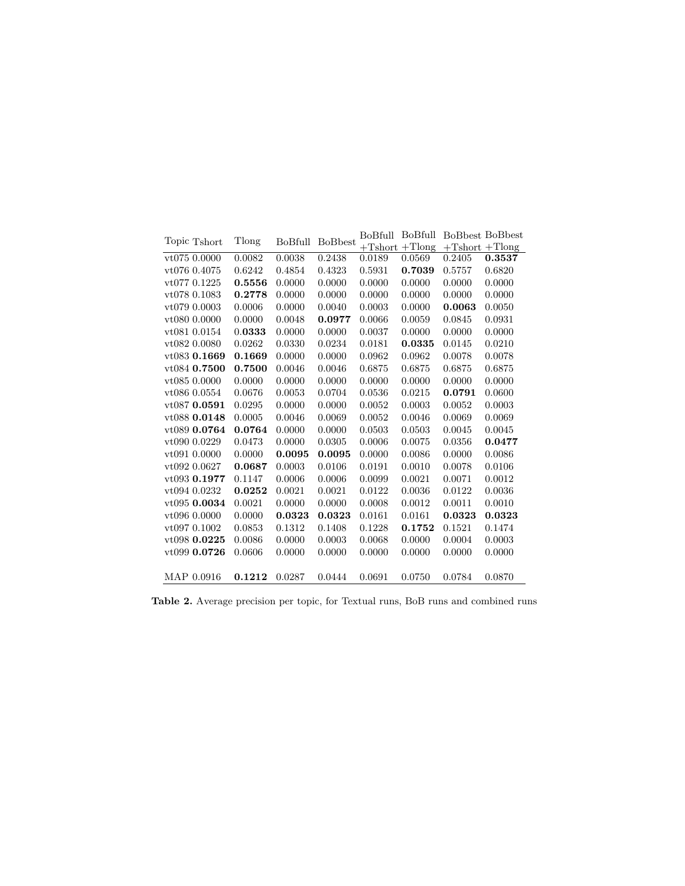| Topic Tshort | Tlong  | BoBfull | <b>BoBbest</b> | BoBfull             | <b>BoBfull</b> |                     | <b>BoBbest BoBbest</b> |
|--------------|--------|---------|----------------|---------------------|----------------|---------------------|------------------------|
|              |        |         |                | $+T short + T long$ |                | $+T short + T long$ |                        |
| vt075 0.0000 | 0.0082 | 0.0038  | 0.2438         | 0.0189              | 0.0569         | 0.2405              | 0.3537                 |
| vt076 0.4075 | 0.6242 | 0.4854  | 0.4323         | 0.5931              | 0.7039         | 0.5757              | 0.6820                 |
| vt077 0.1225 | 0.5556 | 0.0000  | 0.0000         | 0.0000              | 0.0000         | 0.0000              | 0.0000                 |
| vt078 0.1083 | 0.2778 | 0.0000  | 0.0000         | 0.0000              | 0.0000         | 0.0000              | 0.0000                 |
| vt079 0.0003 | 0.0006 | 0.0000  | 0.0040         | 0.0003              | 0.0000         | 0.0063              | 0.0050                 |
| vt080 0.0000 | 0.0000 | 0.0048  | 0.0977         | 0.0066              | 0.0059         | 0.0845              | 0.0931                 |
| vt081 0.0154 | 0.0333 | 0.0000  | 0.0000         | 0.0037              | 0.0000         | 0.0000              | 0.0000                 |
| vt082 0.0080 | 0.0262 | 0.0330  | 0.0234         | 0.0181              | 0.0335         | 0.0145              | 0.0210                 |
| vt083 0.1669 | 0.1669 | 0.0000  | 0.0000         | 0.0962              | 0.0962         | 0.0078              | 0.0078                 |
| vt084 0.7500 | 0.7500 | 0.0046  | 0.0046         | 0.6875              | 0.6875         | 0.6875              | 0.6875                 |
| vt085 0.0000 | 0.0000 | 0.0000  | 0.0000         | 0.0000              | 0.0000         | 0.0000              | 0.0000                 |
| vt086 0.0554 | 0.0676 | 0.0053  | 0.0704         | 0.0536              | 0.0215         | 0.0791              | 0.0600                 |
| vt087 0.0591 | 0.0295 | 0.0000  | 0.0000         | 0.0052              | 0.0003         | 0.0052              | 0.0003                 |
| vt088 0.0148 | 0.0005 | 0.0046  | 0.0069         | 0.0052              | 0.0046         | 0.0069              | 0.0069                 |
| vt089 0.0764 | 0.0764 | 0.0000  | 0.0000         | 0.0503              | 0.0503         | 0.0045              | 0.0045                 |
| vt090 0.0229 | 0.0473 | 0.0000  | 0.0305         | 0.0006              | 0.0075         | 0.0356              | 0.0477                 |
| vt091 0.0000 | 0.0000 | 0.0095  | 0.0095         | 0.0000              | 0.0086         | 0.0000              | 0.0086                 |
| vt092 0.0627 | 0.0687 | 0.0003  | 0.0106         | 0.0191              | 0.0010         | 0.0078              | 0.0106                 |
| vt0930.1977  | 0.1147 | 0.0006  | 0.0006         | 0.0099              | 0.0021         | 0.0071              | 0.0012                 |
| vt094 0.0232 | 0.0252 | 0.0021  | 0.0021         | 0.0122              | 0.0036         | 0.0122              | 0.0036                 |
| vt095 0.0034 | 0.0021 | 0.0000  | 0.0000         | 0.0008              | 0.0012         | 0.0011              | 0.0010                 |
| vt096 0.0000 | 0.0000 | 0.0323  | 0.0323         | 0.0161              | 0.0161         | 0.0323              | 0.0323                 |
| vt097 0.1002 | 0.0853 | 0.1312  | 0.1408         | 0.1228              | 0.1752         | 0.1521              | 0.1474                 |
| vt0980.0225  | 0.0086 | 0.0000  | 0.0003         | 0.0068              | 0.0000         | 0.0004              | 0.0003                 |
| vt099 0.0726 | 0.0606 | 0.0000  | 0.0000         | 0.0000              | 0.0000         | 0.0000              | 0.0000                 |
|              |        |         |                |                     |                |                     |                        |
| MAP 0.0916   | 0.1212 | 0.0287  | 0.0444         | 0.0691              | 0.0750         | 0.0784              | 0.0870                 |

Table 2. Average precision per topic, for Textual runs, BoB runs and combined runs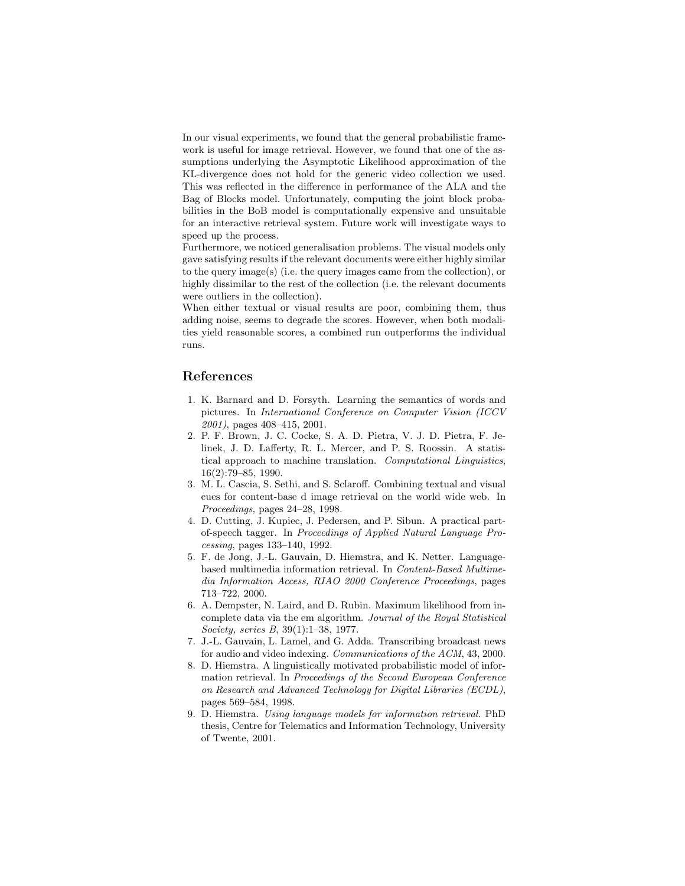In our visual experiments, we found that the general probabilistic framework is useful for image retrieval. However, we found that one of the assumptions underlying the Asymptotic Likelihood approximation of the KL-divergence does not hold for the generic video collection we used. This was reflected in the difference in performance of the ALA and the Bag of Blocks model. Unfortunately, computing the joint block probabilities in the BoB model is computationally expensive and unsuitable for an interactive retrieval system. Future work will investigate ways to speed up the process.

Furthermore, we noticed generalisation problems. The visual models only gave satisfying results if the relevant documents were either highly similar to the query image(s) (i.e. the query images came from the collection), or highly dissimilar to the rest of the collection (i.e. the relevant documents were outliers in the collection).

When either textual or visual results are poor, combining them, thus adding noise, seems to degrade the scores. However, when both modalities yield reasonable scores, a combined run outperforms the individual runs.

## References

- 1. K. Barnard and D. Forsyth. Learning the semantics of words and pictures. In International Conference on Computer Vision (ICCV 2001), pages 408–415, 2001.
- 2. P. F. Brown, J. C. Cocke, S. A. D. Pietra, V. J. D. Pietra, F. Jelinek, J. D. Lafferty, R. L. Mercer, and P. S. Roossin. A statistical approach to machine translation. Computational Linguistics, 16(2):79–85, 1990.
- 3. M. L. Cascia, S. Sethi, and S. Sclaroff. Combining textual and visual cues for content-base d image retrieval on the world wide web. In Proceedings, pages 24–28, 1998.
- 4. D. Cutting, J. Kupiec, J. Pedersen, and P. Sibun. A practical partof-speech tagger. In Proceedings of Applied Natural Language Processing, pages 133–140, 1992.
- 5. F. de Jong, J.-L. Gauvain, D. Hiemstra, and K. Netter. Languagebased multimedia information retrieval. In Content-Based Multimedia Information Access, RIAO 2000 Conference Proceedings, pages 713–722, 2000.
- 6. A. Dempster, N. Laird, and D. Rubin. Maximum likelihood from incomplete data via the em algorithm. Journal of the Royal Statistical Society, series B, 39(1):1–38, 1977.
- 7. J.-L. Gauvain, L. Lamel, and G. Adda. Transcribing broadcast news for audio and video indexing. Communications of the ACM, 43, 2000.
- 8. D. Hiemstra. A linguistically motivated probabilistic model of information retrieval. In Proceedings of the Second European Conference on Research and Advanced Technology for Digital Libraries (ECDL), pages 569–584, 1998.
- 9. D. Hiemstra. Using language models for information retrieval. PhD thesis, Centre for Telematics and Information Technology, University of Twente, 2001.